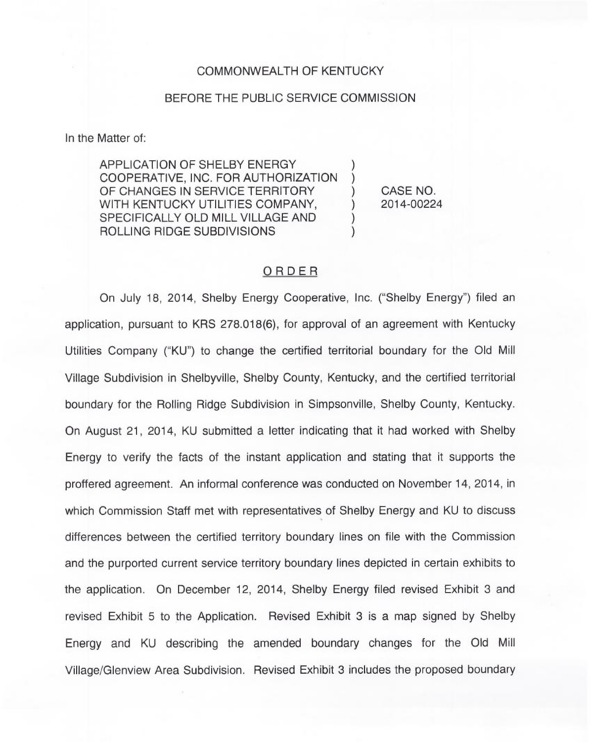#### COMMONWEALTH OF KENTUCKY

#### BEFORE THE PUBLIC SERVICE COMMISSION

In the Matter of:

APPLICATION OF SHELBY ENERGY COOPERATIVE, INC. FOR AUTHORIZATION OF CHANGES IN SERVICE TERRITORY WITH KENTUCKY UTILITIES COMPANY, SPECIFICALLY OLD MILL VILLAGE AND ROLLING RIDGE SUBDIVISIONS

) CASE NO.<br>) 2014-00224 ) 2014-00224

) )

) )

### ORDER

On July 18, 2014, Shelby Energy Cooperative, Inc. ("Shelby Energy") filed ar application, pursuant to KRS 278.018(6), for approval of an agreement with Kentucky Utilities Company ("KU") to change the certified territorial boundary for the Old Mill Village Subdivision in Shelbyville, Shelby County, Kentucky, and the certified territorial boundary for the Rolling Ridge Subdivision in Simpsonville, Shelby County, Kentucky. On August 21, 2014, KU submitted a letter indicating that it had worked with Shelby Energy to verify the facts of the instant application and stating that it supports the proffered agreement. An informal conference was conducted on November 14, 2014, in which Commission Staff met with representatives of Shelby Energy and KU to discuss differences between the certified territory boundary lines on file with the Commission and the purported current service territory boundary lines depicted in certain exhibits to the application. On December 12, 2014, Shelby Energy filed revised Exhibit 3 and revised Exhibit 5 to the Application. Revised Exhibit 3 is a map signed by Shelby Energy and KU describing the amended boundary changes for the Old Mill Village/Glenview Area Subdivision. Revised Exhibit 3 includes the proposed boundary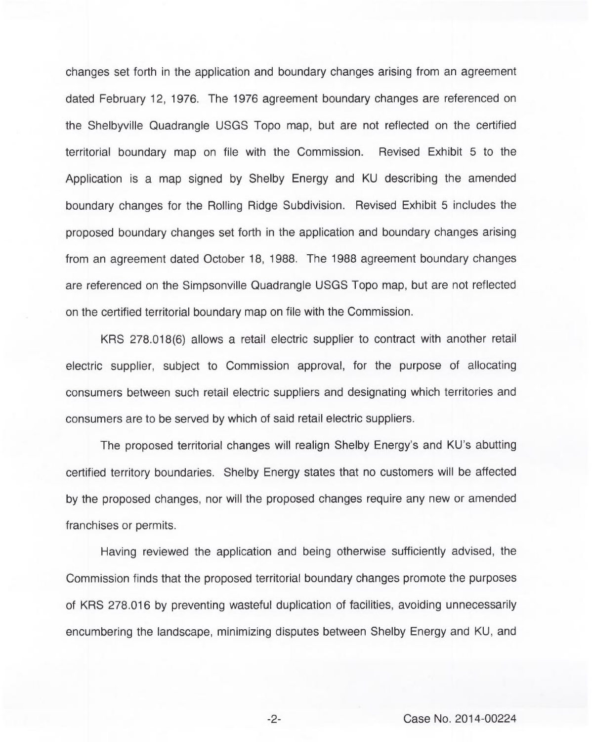changes set forth in the application and boundary changes arising from an agreement dated February 12, 1976. The 1976 agreement boundary changes are referenced on the Shelbyville Quadrangle USGS Topo map, but are not reflected on the certified territorial boundary map on file with the Commission. Revised Exhibit 5 to the Application is a map signed by Shelby Energy and KU describing the amended boundary changes for the Rolling Ridge Subdivision. Revised Exhibit 5 includes the proposed boundary changes set forth in the application and boundary changes arising from an agreement dated October 18, 1988. The 1988 agreement boundary changes are referenced on the Simpsonville Quadrangle USGS Topo map, but are not reflected on the certified territorial boundary map on file with the Commission.

KRS 278.018(6) allows a retail electric supplier to contract with another retail electric supplier, subject to Commission approval, for the purpose of allocating consumers between such retail electric suppliers and designating which territories and consumers are to be served by which of said retail electric suppliers.

The proposed territorial changes will realign Shelby Energy's and KU's abutting certified territory boundaries. Shelby Energy states that no customers will be affected by the proposed changes, nor will the proposed changes require any new or amended franchises or permits.

Having reviewed the application and being otherwise sufficiently advised, the Commission finds that the proposed territorial boundary changes promote the purposes of KRS 278.016 by preventing wasteful duplication of facilities, avoiding unnecessarily encumbering the landscape, minimizing disputes between Shelby Energy and KU, and

 $-2-$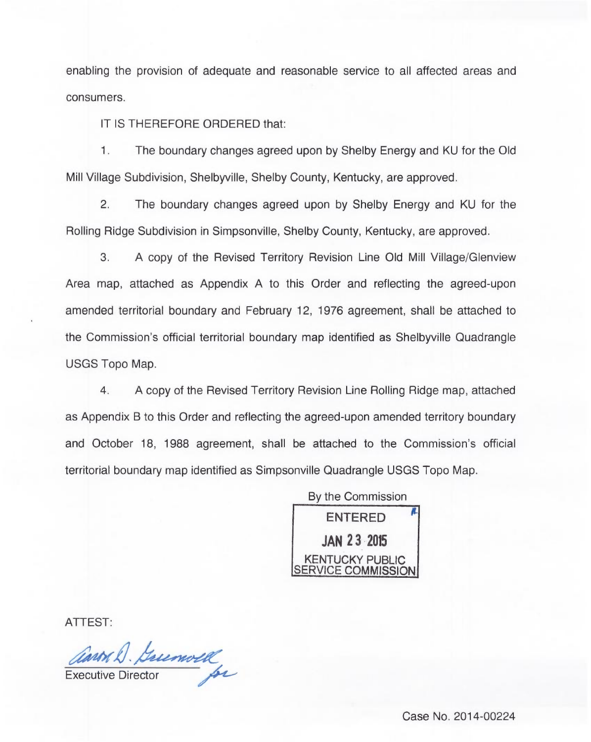enabling the provision of adequate and reasonable service to all affected areas and consumers.

IT IS THEREFORE ORDERED that:

1. The boundary changes agreed upon by Shelby Energy and KU for the Old Mill Village Subdivision, Shelbyville, Shelby County, Kentucky, are approved.

2. The boundary changes agreed upon by Shelby Energy and KU for the Rolling Ridge Subdivision in Simpsonville, Shelby County, Kentucky, are approved.

3. <sup>A</sup> copy of the Revised Territory Revision Line Old Mill Village/Glenview Area map, attached as Appendix A to this Order and reflecting the agreed-upon amended territorial boundary and February 12, 1976 agreement, shall be attached to the Commission's official territorial boundary map identified as Shelbyville Quadrangle USGS Topo Map.

4. A copy of the Revised Territory Revision Line Rolling Ridge map, attached as Appendix B to this Order and reflecting the agreed-upon amended territory boundary and October 18, 1988 agreement, shall be attached to the Commission's official territorial boundary map identified as Simpsonville Quadrangle USGS Topo Map.

> By the Commission ENTERED JAN 23 <sup>2015</sup> KENTUCKY PUBLIC SERVICE COMMISSION

ATTEST:

ann D. Guemold

Case No. 2014-00224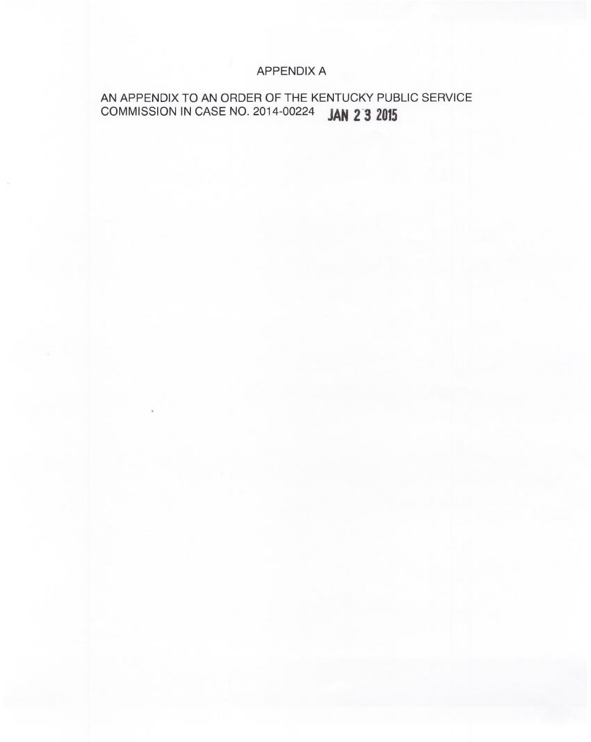### APPENDIX A

# AN APPENDIX TO AN ORDER OF THE KENTUCKY PUBLIC SERVICE COMMISSION IN CASE NO. 2014-00224 JAN 2 3 2015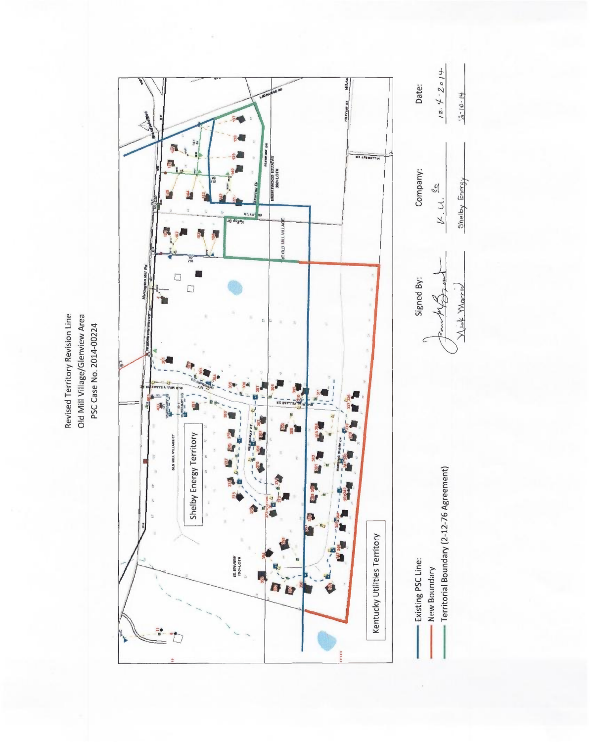Revised Territory Revision Line Old Mill Village/Glenview Area PSC Case No. 2014-00224

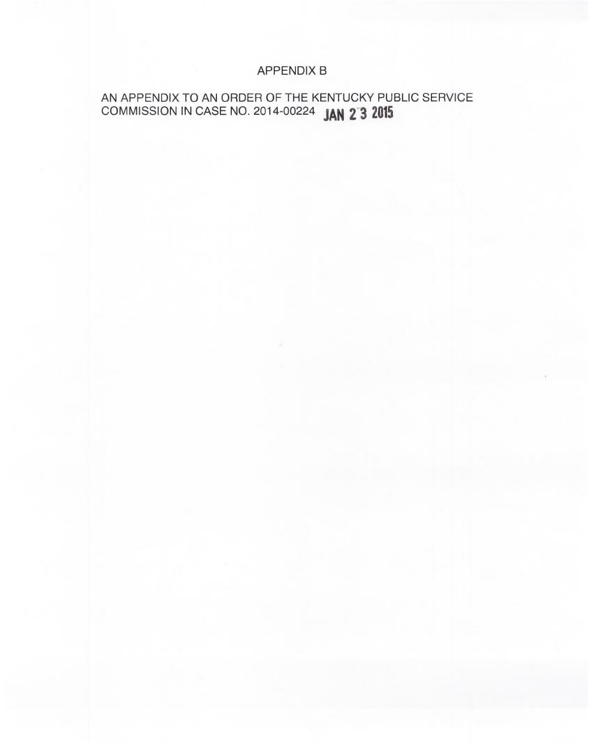### APPENDIX B

## AN APPENDIX TO AN ORDER OF THE KENTUCKY PUBLIC SERVICE COMMISSION IN CASE NO. 2014-00224 JAN 2 3 2015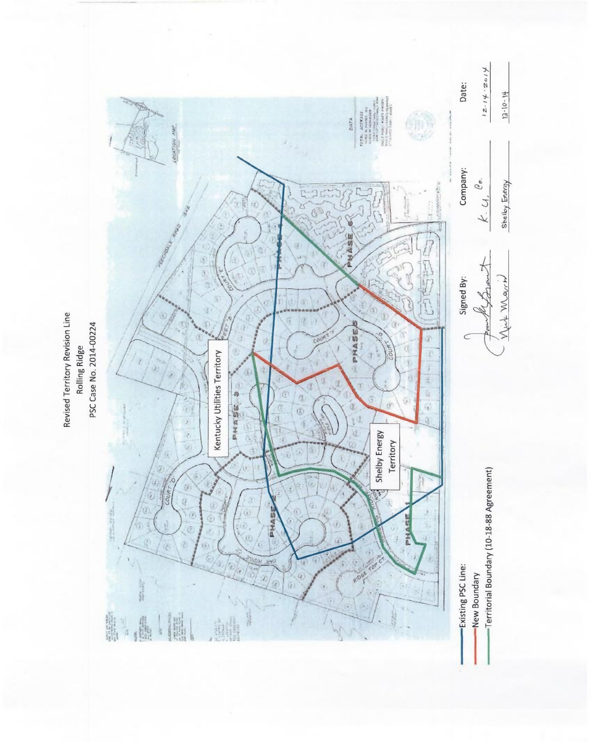